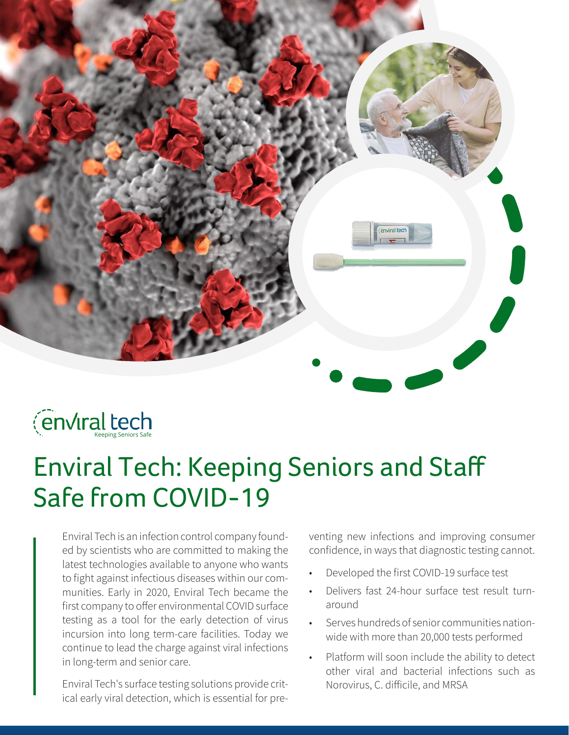



# Enviral Tech: Keeping Seniors and Staff Safe from COVID-19

Enviral Tech is an infection control company founded by scientists who are committed to making the latest technologies available to anyone who wants to fight against infectious diseases within our communities. Early in 2020, Enviral Tech became the first company to offer environmental COVID surface testing as a tool for the early detection of virus incursion into long term-care facilities. Today we continue to lead the charge against viral infections in long-term and senior care.

Enviral Tech's surface testing solutions provide critical early viral detection, which is essential for preventing new infections and improving consumer confidence, in ways that diagnostic testing cannot.

- Developed the first COVID-19 surface test
- Delivers fast 24-hour surface test result turnaround
- Serves hundreds of senior communities nationwide with more than 20,000 tests performed
- Platform will soon include the ability to detect other viral and bacterial infections such as Norovirus, C. difficile, and MRSA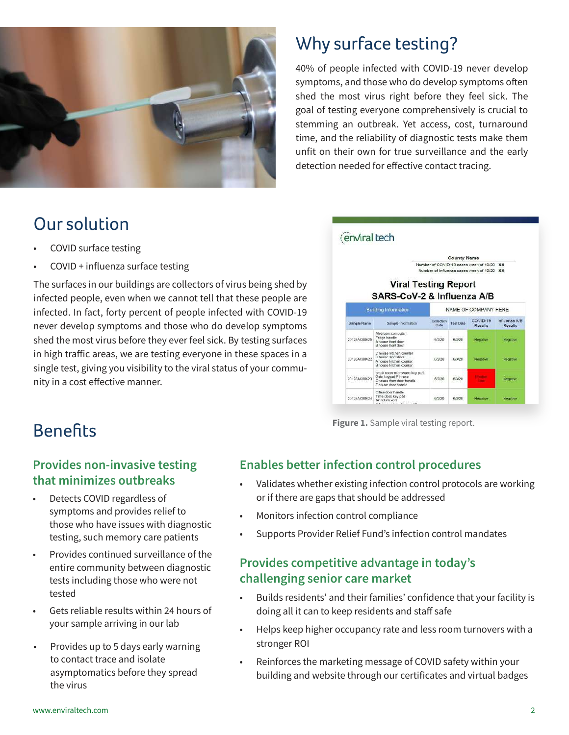

# Why surface testing?

40% of people infected with COVID-19 never develop symptoms, and those who do develop symptoms often shed the most virus right before they feel sick. The goal of testing everyone comprehensively is crucial to stemming an outbreak. Yet access, cost, turnaround time, and the reliability of diagnostic tests make them unfit on their own for true surveillance and the early detection needed for effective contact tracing.

## Our solution

- COVID surface testing
- COVID + influenza surface testing

The surfaces in our buildings are collectors of virus being shed by infected people, even when we cannot tell that these people are infected. In fact, forty percent of people infected with COVID-19 never develop symptoms and those who do develop symptoms shed the most virus before they ever feel sick. By testing surfaces in high traffic areas, we are testing everyone in these spaces in a single test, giving you visibility to the viral status of your community in a cost effective manner.



**Figure 1.** Sample viral testing report.

# **Benefits**

#### **Provides non-invasive testing that minimizes outbreaks**

- Detects COVID regardless of symptoms and provides relief to those who have issues with diagnostic testing, such memory care patients
- Provides continued surveillance of the entire community between diagnostic tests including those who were not tested
- Gets reliable results within 24 hours of your sample arriving in our lab
- Provides up to 5 days early warning to contact trace and isolate asymptomatics before they spread the virus

#### **Enables better infection control procedures**

- Validates whether existing infection control protocols are working or if there are gaps that should be addressed
- Monitors infection control compliance
- Supports Provider Relief Fund's infection control mandates

#### **Provides competitive advantage in today's challenging senior care market**

- Builds residents' and their families' confidence that your facility is doing all it can to keep residents and staff safe
- Helps keep higher occupancy rate and less room turnovers with a stronger ROI
- Reinforces the marketing message of COVID safety within your building and website through our certificates and virtual badges